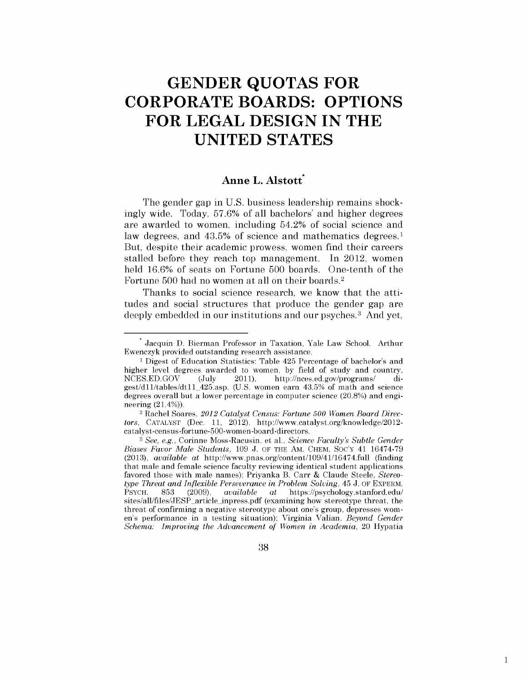# **GENDER QUOTAS FOR CORPORATE BOARDS: OPTIONS FOR LEGAL DESIGN IN THE UNITED STATES**

## Anne L. Alstott<sup>\*</sup>

The gender gap in U.S. business leadership remains shockingly wide. Today, 57.6% of all bachelors' and higher degrees are awarded to women, including 54.2% of social science and law degrees, and 43.5% of science and mathematics degrees.<sup>1</sup> But, despite their academic prowess, women find their careers stalled before they reach top management. In 2012, women held 16.6% of seats on Fortune 500 boards. One-tenth of the Fortune 500 had no women at all on their boards. <sup>2</sup>

Thanks to social science research, we know that the attitudes and social structures that produce the gender gap are deeply embedded in our institutions and our psyches.<sup>3</sup> And yet,

38

Jacquin D. Bierman Professor in Taxation, Yale Law School. Arthur Ewenczyk provided outstanding research assistance.

<sup>1</sup>Digest of Education Statistics: Table 425 Percentage of bachelor's and higher level degrees awarded to women, by field of study and country, NCES.ED.GOV (July 2011), http://nces.ed.gov/programs/ digest/dll/tables/dt11\_425.asp. (U.S. women earn 43.5% of math and science degrees overall but a lower percentage in computer science (20.8%) and engineering (21.4%)). 2 Rachel Soares, *2012 Catalyst Census: Fortune 500 Women Board Direc-*

*tors,* CATALYST (Dec. 11, 2012), http://www.catalyst.org/knowledge/2012 catalyst-census-fortune-500-women -board-directors.

<sup>3</sup>*See, e.g.,* Corinne Moss-Racusin, et al., *Science Faculty's Subtle Gender Biases Favor Male Students,* 109 J. OF THE AM. CHEM. Soc'y 41 16474-79 (2013), *available at* http://www.pnas.org/content/109/41/16474.full (finding that male and female science faculty reviewing identical student applications favored those with male names); Priyanka B. Carr & Claude Steele, *Stereotype Threat and Inflexible Perseverance in Problem Solving,* 45 J. OF EXPERM. PSYCH. 853 (2009), *available at* https://psychology.stanford.edu/ sites/all/files/JESP\_article\_inpress.pdf (examining how stereotype threat, the threat of confirming a negative stereotype about one's group, depresses women's performance in a testing situation); Virginia Valian, *Beyond Gender Schema: Improving the Advancement of Women in Academia,* 20 Hypatia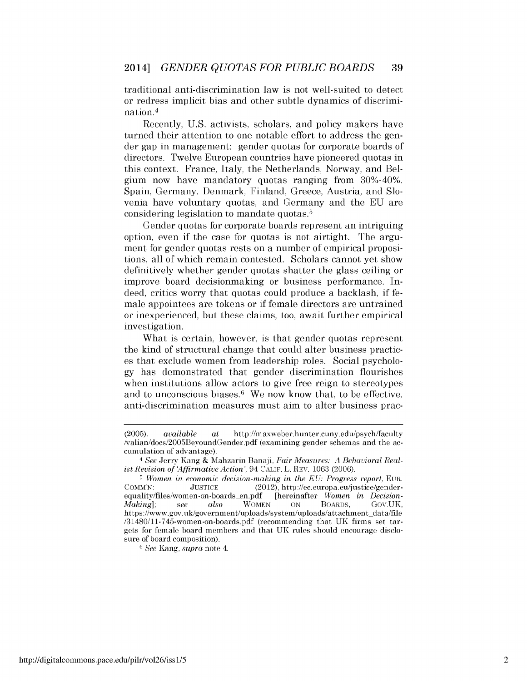traditional anti-discrimination law is not well-suited to detect or redress implicit bias and other subtle dynamics of discrimination.4

Recently, U.S. activists, scholars, and policy makers have turned their attention to one notable effort to address the gender gap in management: gender quotas for corporate boards of directors. Twelve European countries have pioneered quotas in this context. France, Italy, the Netherlands, Norway, and Belgium now have mandatory quotas ranging from 30%-40%. Spain, Germany, Denmark, Finland, Greece, Austria, and Slovenia have voluntary quotas, and Germany and the EU are considering legislation to mandate quotas. <sup>5</sup>

Gender quotas for corporate boards represent an intriguing option, even if the case for quotas is not airtight. The argument for gender quotas rests on a number of empirical propositions, all of which remain contested. Scholars cannot yet show definitively whether gender quotas shatter the glass ceiling or improve board decisionmaking or business performance. Indeed, critics worry that quotas could produce a backlash, if female appointees are tokens or if female directors are untrained or inexperienced, but these claims, too, await further empirical investigation.

What is certain, however, is that gender quotas represent the kind of structural change that could alter business practices that exclude women from leadership roles. Social psychology has demonstrated that gender discrimination flourishes when institutions allow actors to give free reign to stereotypes and to unconscious biases.<sup>6</sup> We now know that, to be effective, anti-discrimination measures must aim to alter business prac-

<sup>6</sup>*See* Kang, *supra* note 4.

<sup>(2005),</sup> *available at* http://maxweber.hunter.cuny.edu/psych/faculty /valian/docs/2005BeyoundGender.pdf (examining gender schemas and the accumulation of advantage). 4 *See* Jerry Kang & Mahzarin Banaji, *Fair Measures: A Behavioral Real-*

*ist Revision of 'Affirmative Action',* 94 CALIF. L. REV. 1063 (2006).

<sup>&</sup>lt;sup>5</sup> Women in economic decision-making in the EU: Progress report, EUR.<br>COMM'N: JUSTICE (2012). http://ec.europa.eu/justice/gender-(2012), http://ec.europa.eu/justice/gender-<br>df [hereinafter Women in Decisionequality/files/women-on-boards\_en.pdf [hereinafter *Women in Decision-Making];* see *also* WOMEN ON BOARDS, Gov.UK, https://www.gov.uk/government/uploads/system/uploads/attachment\_data/file /31480/11-745-women-on-boards.pdf (recommending that UK firms set targets for female board members and that UK rules should encourage disclosure of board composition).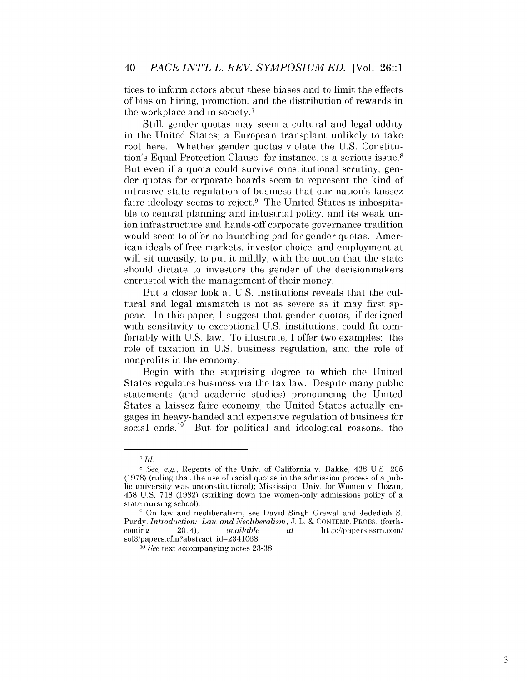tices to inform actors about these biases and to limit the effects of bias on hiring, promotion, and the distribution of rewards in the workplace and in society. <sup>7</sup>

Still, gender quotas may seem a cultural and legal oddity in the United States; a European transplant unlikely to take root here. Whether gender quotas violate the U.S. Constitution's Equal Protection Clause, for instance, is a serious issue. <sup>8</sup> But even if a quota could survive constitutional scrutiny, gender quotas for corporate boards seem to represent the kind of intrusive state regulation of business that our nation's laissez faire ideology seems to reject.<sup>9</sup> The United States is inhospitable to central planning and industrial policy, and its weak union infrastructure and hands-off corporate governance tradition would seem to offer no launching pad for gender quotas. American ideals of free markets, investor choice, and employment at will sit uneasily, to put it mildly, with the notion that the state should dictate to investors the gender of the decisionmakers entrusted with the management of their money.

But a closer look at U.S. institutions reveals that the cultural and legal mismatch is not as severe as it may first appear. In this paper, I suggest that gender quotas, if designed with sensitivity to exceptional U.S. institutions, could fit comfortably with U.S. law. To illustrate, I offer two examples: the role of taxation in U.S. business regulation, and the role of nonprofits in the economy.

Begin with the surprising degree to which the United States regulates business via the tax law. Despite many public statements (and academic studies) pronouncing the United States a laissez faire economy, the United States actually engages in heavy-handed and expensive regulation of business for social ends.<sup>10</sup> But for political and ideological reasons, the

<sup>7</sup>*Id.* 

s *See, e.g.,* Regents of the Univ. of California v. Bakke, 438 U.S. 265 (1978) (ruling that the use of racial quotas in the admission process of a public university was unconstitutional); Mississippi Univ. for Women v. Hogan, 458 U.S. 718 (1982) (striking down the women-only admissions policy of a state nursing school).

<sup>9</sup> On law and neoliberalism, see David Singh Grewal and Jedediah S. Purdy, *Introduction: Law and Neoliberalism*, J. L. & CONTEMP. PROBS. (forthcoming 2014), *available at* http://papers.ssrn.com/ sol3/papers.cfm?abstract\_id=2341068.

<sup>10</sup>*See* text accompanying notes 23-38.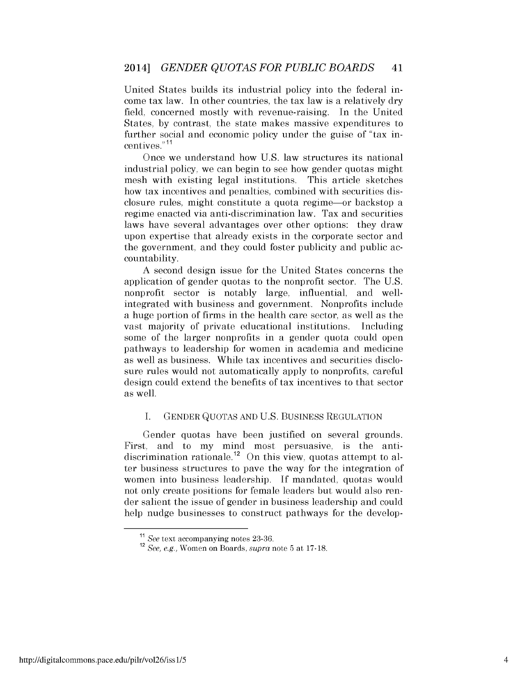United States builds its industrial policy into the federal income tax law. In other countries, the tax law is a relatively dry field, concerned mostly with revenue-raising. In the United States, by contrast, the state makes massive expenditures to further social and economic policy under the guise of "tax incentives." <sup>11</sup>

Once we understand how U.S. law structures its national industrial policy, we can begin to see how gender quotas might mesh with existing legal institutions. This article sketches how tax incentives and penalties, combined with securities disclosure rules, might constitute a quota regime-or backstop a regime enacted via anti-discrimination law. Tax and securities laws have several advantages over other options: they draw upon expertise that already exists in the corporate sector and the government, and they could foster publicity and public accountability.

A second design issue for the United States concerns the application of gender quotas to the nonprofit sector. The U.S. nonprofit sector is notably large, influential, and wellintegrated with business and government. Nonprofits include a huge portion of firms in the health care sector, as well as the vast majority of private educational institutions. Including some of the larger nonprofits in a gender quota could open pathways to leadership for women in academia and medicine as well as business. While tax incentives and securities disclosure rules would not automatically apply to nonprofits, careful design could extend the benefits of tax incentives to that sector as well.

#### I. GENDER QUOTAS AND U.S. BUSINESS REGULATION

Gender quotas have been justified on several grounds. First, and to my mind most persuasive, is the antidiscrimination rationale.<sup>12</sup> On this view, quotas attempt to alter business structures to pave the way for the integration of women into business leadership. If mandated, quotas would not only create positions for female leaders but would also render salient the issue of gender in business leadership and could help nudge businesses to construct pathways for the develop-

<sup>11</sup>*See* text accompanying notes 23-36. 12 *See, e.g.,* Women on Boards, *supra* note 5 at 17-18.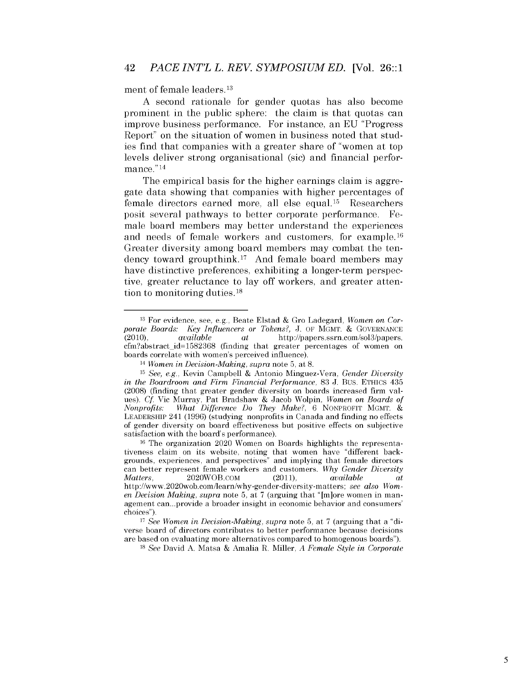ment of female leaders. 13

A second rationale for gender quotas has also become prominent in the public sphere: the claim is that quotas can improve business performance. For instance, an EU "Progress Report" on the situation of women in business noted that studies find that companies with a greater share of "women at top levels deliver strong organisational (sic) and financial performance."<sup>14</sup>

The empirical basis for the higher earnings claim is aggregate data showing that companies with higher percentages of female directors earned more, all else equal. 15 Researchers posit several pathways to better corporate performance. Female board members may better understand the experiences and needs of female workers and customers, for example.<sup>16</sup> Greater diversity among board members may combat the tendency toward groupthink. 17 And female board members may have distinctive preferences, exhibiting a longer-term perspective, greater reluctance to lay off workers, and greater attention to monitoring duties. 18

l3 For evidence, see, e.g., Beate Elstad & Gro Ladegard, *Women on Corporate Boards: Key Influencers or Tokens?, J. OF MGMT. & GOVERNANCE* (2010), *available at* http://papers.ssrn.com/sol3/papers. (2010), *available at* http ://papers.ssrn.com/sol3/papers. cfm?abstract\_id=1582368 (finding that greater percentages of women on boards correlate with women's perceived influence). 14 *Women in Decision-Making, supra* note 5, at 8.

l5 *See, e.g.,* Kevin Campbell & Antonio Minguez-Vera, *Gender Diversity in the Boardroom and Firm Financial Performance,* 83 J. Bus. ETHICS 435 (2008) (finding that greater gender diversity on boards increased firm values). *Cf* Vic Murray, Pat Bradshaw & Jacob Wolpin, *Women on Boards of Nonprofits: What Difference Do They Make?,* 6 NONPROFIT MGMT. & LEADERSHIP 241 (1996) (studying nonprofits in Canada and finding no effects of gender diversity on board effectiveness but positive effects on subjective satisfaction with the board's performance).

<sup>&</sup>lt;sup>16</sup> The organization 2020 Women on Boards highlights the representativeness claim on its website, noting that women have "different backgrounds, experiences, and perspectives" and implying that female directors can better represent female workers and customers. *Why Gender Diversity Matters,* 2020WOB.COM (2011), *available at*  http://www.2020wob.com/learn/why-gender-diversity-matters; *see also Women Decision Making, supra* note 5, at 7 (arguing that "[m]ore women in management can... provide a broader insight in economic behavior and consumers' choices").

<sup>&</sup>lt;sup>17</sup> *See Women in Decision-Making, supra* note 5, at 7 (arguing that a "diverse board of directors contributes to better performance because decisions are based on evaluating more alternatives compared to homogenous boards").

lS *See* David A Matsa & Amalia R. Miller, *A Female Style in Corporate*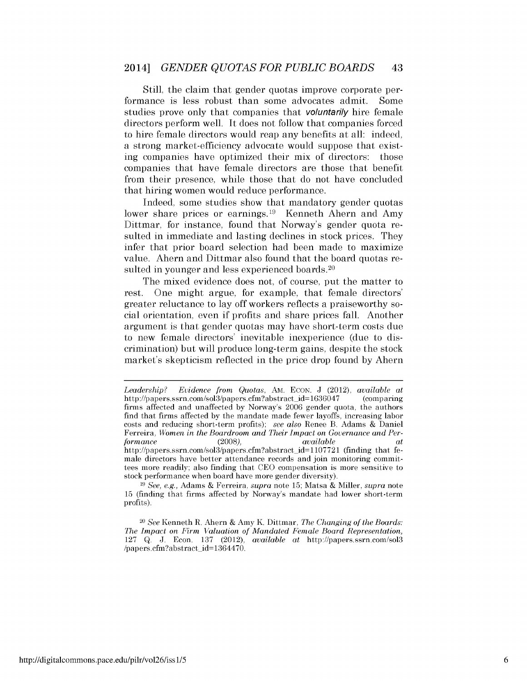Still, the claim that gender quotas improve corporate performance is less robust than some advocates admit. Some studies prove only that companies that *voluntarily* hire female directors perform well. It does not follow that companies forced to hire female directors would reap any benefits at all: indeed, a strong market-efficiency advocate would suppose that existing companies have optimized their mix of directors: those companies that have female directors are those that benefit from their presence, while those that do not have concluded that hiring women would reduce performance.

Indeed, some studies show that mandatory gender quotas lower share prices or earnings.<sup>19</sup> Kenneth Ahern and Amy Dittmar, for instance, found that Norway's gender quota resulted in immediate and lasting declines in stock prices. They infer that prior board selection had been made to maximize value. Ahern and Dittmar also found that the board quotas resulted in younger and less experienced boards.<sup>20</sup>

The mixed evidence does not, of course, put the matter to rest. One might argue, for example, that female directors' greater reluctance to lay off workers reflects a praiseworthy social orientation, even if profits and share prices fall. Another argument is that gender quotas may have short-term costs due to new female directors' inevitable inexperience (due to discrimination) but will produce long-term gains, despite the stock market's skepticism reflected in the price drop found by Ahern

*Leadership? Evidence from Quotas,* AM. ECON. J (2012), *available at*  http://papers.ssrn.com/sol3/papers.cfm?abstract\_id=1636047 (comparing firms affected and unaffected by Norway's 2006 gender quota, the authors find that firms affected by the mandate made fewer layoffs, increasing labor costs and reducing short-term profits); *see also* Renee B. Adams & Daniel Ferreira, *Women in the Boardroom and Their Impact on Governance and Performance* (2008), *available at*  http://papers.ssrn.com/sol3/papers.cfm?abstract\_id=1107721 (finding that female directors have better attendance records and join monitoring committees more readily; also finding that CEO compensation is more sensitive to stock performance when board have more gender diversity).

<sup>19</sup>*See, e.g.,* Adams & Ferreira, *supra* note 15; Matsa & Miller, *supra* note 15 (finding that firms affected by Norway's mandate had lower short-term profits).

<sup>20</sup> *See* Kenneth R. Ahern & Amy K. Dittmar, *The Changing of the Boards: The Impact on Firm Valuation of Mandated Female Board Representation,*  127 Q. J. Econ. 137 (2012), *available at* http://papers.ssrn.com/sol3 /papers.cfm ?abstract\_id=13644 70.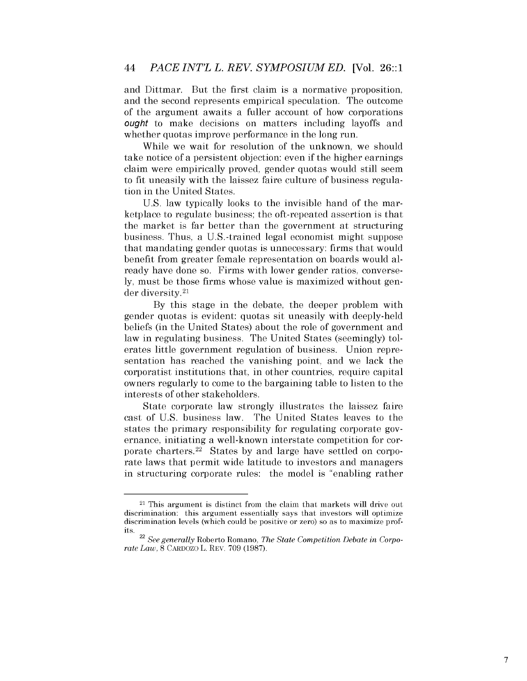and Dittmar. But the first claim is a normative proposition, and the second represents empirical speculation. The outcome of the argument awaits a fuller account of how corporations ought to make decisions on matters including layoffs and whether quotas improve performance in the long run.

While we wait for resolution of the unknown, we should take notice of a persistent objection: even if the higher earnings claim were empirically proved, gender quotas would still seem to fit uneasily with the laissez faire culture of business regulation in the United States.

U.S. law typically looks to the invisible hand of the marketplace to regulate business; the oft-repeated assertion is that the market is far better than the government at structuring business. Thus, a U.S.-trained legal economist might suppose that mandating gender quotas is unnecessary: firms that would benefit from greater female representation on boards would already have done so. Firms with lower gender ratios, conversely, must be those firms whose value is maximized without gender diversity. 21

By this stage in the debate, the deeper problem with gender quotas is evident: quotas sit uneasily with deeply-held beliefs (in the United States) about the role of government and law in regulating business. The United States (seemingly) tolerates little government regulation of business. Union representation has reached the vanishing point, and we lack the corporatist institutions that, in other countries, require capital owners regularly to come to the bargaining table to listen to the interests of other stakeholders.

State corporate law strongly illustrates the laissez faire cast of U.S. business law. The United States leaves to the states the primary responsibility for regulating corporate governance, initiating a well-known interstate competition for corporate charters. 22 States by and large have settled on corporate laws that permit wide latitude to investors and managers in structuring corporate rules: the model is "enabling rather

<sup>21</sup> This argument is distinct from the claim that markets will drive out discrimination: this argument essentially says that investors will optimize discrimination levels (which could be positive or zero) so as to maximize prof-

its. 22 *See generally* Roberto Romano, *The State Competition Debate in Corporate Law,* 8 CARDOZO L. REV. 709 (1987).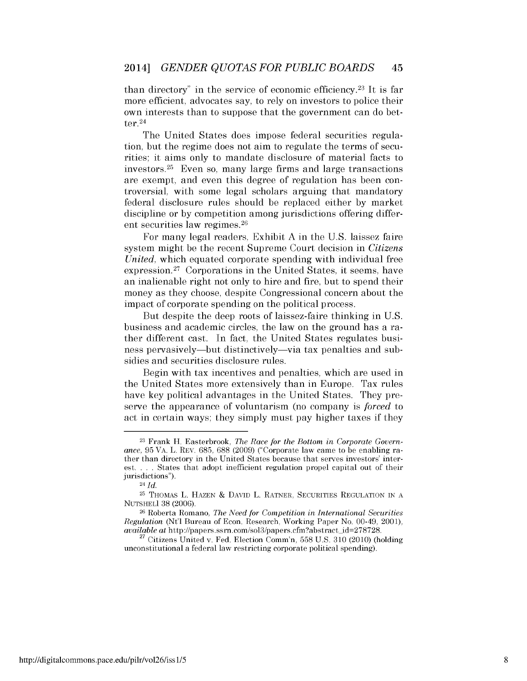than directory" in the service of economic efficiency.<sup>23</sup> It is far more efficient, advocates say, to rely on investors to police their own interests than to suppose that the government can do better. <sup>24</sup>

The United States does impose federal securities regulation, but the regime does not aim to regulate the terms of securities; it aims only to mandate disclosure of material facts to investors. 25 Even so, many large firms and large transactions are exempt, and even this degree of regulation has been controversial, with some legal scholars arguing that mandatory federal disclosure rules should be replaced either by market discipline or by competition among jurisdictions offering different securities law regimes. 26

For many legal readers, Exhibit A in the U.S. laissez faire system might be the recent Supreme Court decision in *Citizens United,* which equated corporate spending with individual free expression.<sup>27</sup> Corporations in the United States, it seems, have an inalienable right not only to hire and fire, but to spend their money as they choose, despite Congressional concern about the impact of corporate spending on the political process.

But despite the deep roots of laissez-faire thinking in U.S. business and academic circles, the law on the ground has a rather different cast. In fact, the United States regulates business pervasively-but distinctively-via tax penalties and subsidies and securities disclosure rules.

Begin with tax incentives and penalties, which are used in the United States more extensively than in Europe. Tax rules have key political advantages in the United States. They preserve the appearance of voluntarism (no company is *forced* to act in certain ways; they simply must pay higher taxes if they

<sup>23</sup> Frank H. Easterbrook, *The Race for the Bottom in Corporate Governance,* 95 VA. L. REV. 685, 688 (2009) ("Corporate law came to be enabling rather than directory in the United States because that serves investors' interest. . .. States that adopt inefficient regulation propel capital out of their jurisdictions").

<sup>24</sup>*Id.* 

 $^{25}$  THOMAS L. HAZEN  $\&$  DAVID L. RATNER, SECURITIES REGULATION IN A NUTSHELI 38 (2006).

<sup>&</sup>lt;sup>26</sup> Roberta Romano, *The Need for Competition in International Securities Regulation (Nt'l Bureau of Econ. Research, Working Paper No. 00-49, 2001), available at http://papers.ssrn.com/sol3/papers.cfm?abstract\_id=278728.* 

<sup>&</sup>lt;sup>27</sup> Citizens United v. Fed. Election Comm'n, 558 U.S. 310 (2010) (holding unconstitutional a federal law restricting corporate political spending).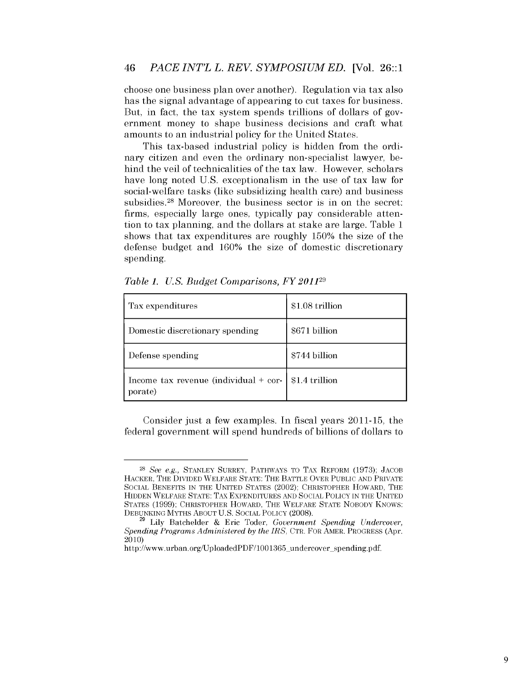choose one business plan over another). Regulation via tax also has the signal advantage of appearing to cut taxes for business. But, in fact, the tax system spends trillions of dollars of government money to shape business decisions and craft what amounts to an industrial policy for the United States.

This tax-based industrial policy is hidden from the ordinary citizen and even the ordinary non-specialist lawyer, behind the veil of technicalities of the tax law. However, scholars have long noted U.S. exceptionalism in the use of tax law for social-welfare tasks (like subsidizing health care) and business subsidies.<sup>28</sup> Moreover, the business sector is in on the secret: firms, especially large ones, typically pay considerable attention to tax planning, and the dollars at stake are large. Table 1 shows that tax expenditures are roughly 150% the size of the defense budget and 160% the size of domestic discretionary spending.

| Tax expenditures                                   | \$1.08 trillion |
|----------------------------------------------------|-----------------|
| Domestic discretionary spending                    | \$671 billion   |
| Defense spending                                   | \$744 billion   |
| Income tax revenue (individual $+$ cor-<br>porate) | \$1.4 trillion  |

*Table 1. U.S. Budget Comparisons, FY 2011* 29

Consider just a few examples. In fiscal years 2011-15, the federal government will spend hundreds of billions of dollars to

<sup>28</sup> *See e.g.,* STANLEY SURREY, PATHWAYS TO TAX REFORM (1973); JACOB HACKER, THE DIVIDED WELFARE STATE: THE BATTLE OVER PUBLIC AND PRIVATE SOCIAL BENEFITS IN THE UNITED STATES (2002); CHRISTOPHER HOWARD, THE HIDDEN WELFARE STATE: TAX EXPENDITURES AND SOCIAL POLICY IN THE UNITED STATES (1999); CHRISTOPHER HOWARD, THE WELFARE STATE NOBODY KNOWS: DEBUNKING MYTHS ABOUT U.S. SOCIAL POLICY (2008).

<sup>&</sup>lt;sup>29</sup> Lily Batchelder & Eric Toder, *Government Spending Undercover*, *Spending Programs Administered by the IRS,* CTR. FOR AMER. PROGRESS (Apr. 2010)

http://www.urban.org/UploadedPDF/1001365\_undercover\_spending.pdf.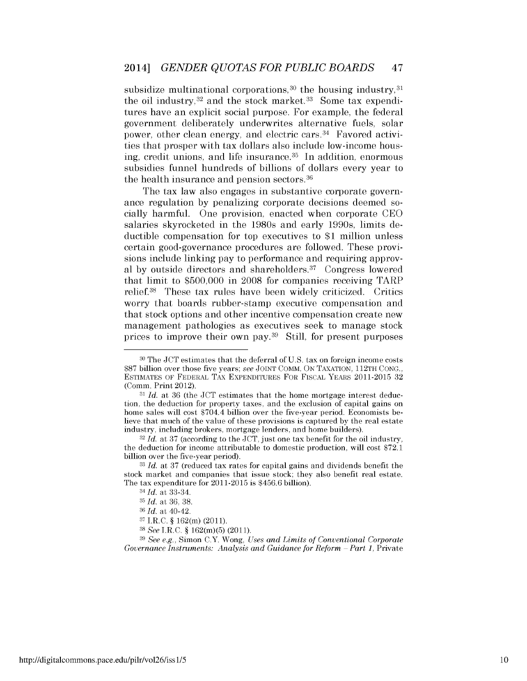subsidize multinational corporations,  $30$  the housing industry,  $31$ the oil industry,  $32$  and the stock market.  $33$  Some tax expenditures have an explicit social purpose. For example, the federal government deliberately underwrites alternative fuels, solar power, other clean energy, and electric cars. 34 Favored activities that prosper with tax dollars also include low-income housing, credit unions, and life insurance. 35 In addition, enormous subsidies funnel hundreds of billions of dollars every year to the health insurance and pension sectors. 36

The tax law also engages in substantive corporate governance regulation by penalizing corporate decisions deemed socially harmful. One provision, enacted when corporate CEO salaries skyrocketed in the 1980s and early 1990s, limits deductible compensation for top executives to \$1 million unless certain good-governance procedures are followed. These provisions include linking pay to performance and requiring approval by outside directors and shareholders. 37 Congress lowered that limit to \$500,000 in 2008 for companies receiving TARP relief. 38 These tax rules have been widely criticized. Critics worry that boards rubber-stamp executive compensation and that stock options and other incentive compensation create new management pathologies as executives seek to manage stock prices to improve their own pay. 39 Still, for present purposes

32 *Id.* at 37 (according to the JCT, just one tax benefit for the oil industry, the deduction for income attributable to domestic production, will cost \$72.1 billion over the five-year period).

<sup>36</sup>*Id.* at 40-42.

<sup>39</sup>*See e.g.,* Simon C.Y. Wong, *Uses and Limits of Conventional Corporate Governance Instruments: Analysis and Guidance for Reform - Part 1, Private* 

<sup>30</sup> The JCT estimates that the deferral of U.S. tax on foreign income costs \$87 billion over those five years; *see* JOINT COMM. ON TAXATION, 112TH CONG., ESTIMATES OF FEDERAL TAX EXPENDITURES FOR FISCAL YEARS 2011-2015 32 (Comm. Print 2012).

<sup>&</sup>lt;sup>31</sup> *Id.* at 36 (the JCT estimates that the home mortgage interest deduction, the deduction for property taxes, and the exclusion of capital gains on home sales will cost \$704.4 billion over the five-year period. Economists believe that much of the value of these provisions is captured by the real estate industry, including brokers, mortgage lenders, and home builders).

<sup>33</sup>*Id.* at 37 (reduced tax rates for capital gains and dividends benefit the stock market and companies that issue stock; they also benefit real estate. The tax expenditure for 2011-2015 is \$456.6 billion).

<sup>34</sup> *Id.* at 33-34.

<sup>35</sup>*Id.* at 36, 38.

<sup>37</sup>I.RC.§ 162(m) (2011).

<sup>38</sup>*See* I.RC.§ 162(m)(5) (2011).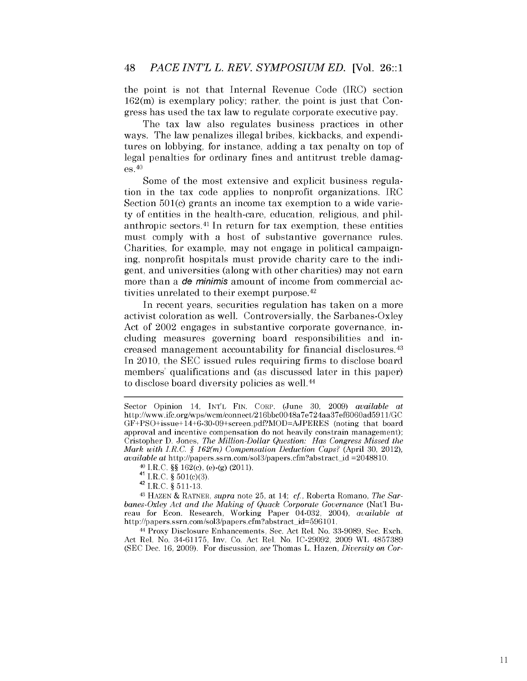the point is not that Internal Revenue Code (IRC) section 162(m) is exemplary policy; rather, the point is just that Congress has used the tax law to regulate corporate executive pay.

The tax law also regulates business practices in other ways. The law penalizes illegal bribes, kickbacks, and expenditures on lobbying, for instance, adding a tax penalty on top of legal penalties for ordinary fines and antitrust treble damages. 40

Some of the most extensive and explicit business regulation in the tax code applies to nonprofit organizations. IRC Section 501(c) grants an income tax exemption to a wide variety of entities in the health-care, education, religious, and philanthropic sectors. 41 In return for tax exemption, these entities must comply with a host of substantive governance rules. Charities, for example, may not engage in political campaigning, nonprofit hospitals must provide charity care to the indigent, and universities (along with other charities) may not earn more than a **de minimis** amount of income from commercial activities unrelated to their exempt purpose. <sup>42</sup>

In recent years, securities regulation has taken on a more activist coloration as well. Controversially, the Sarbanes-Oxley Act of 2002 engages in substantive corporate governance, including measures governing board responsibilities and increased management accountability for financial disclosures. 43 In 2010, the SEC issued rules requiring firms to disclose board members' qualifications and (as discussed later in this paper) to disclose board diversity policies as well. <sup>44</sup>

<sup>44</sup> Proxy Disclosure Enhancements, Sec. Act Rel. No. 33-9089, Sec. Exch. Act Rel. No. 34-61175, Inv. Co. Act Rel. No. IC-29092, 2009 WL 4857389 (SEC Dec. 16, 2009). For discussion, *see* Thomas L. Hazen, *Diversity on Cor-*

Sector Opinion 14, INTL FIN. CORP. (June 30, 2009) *available at*  http ://www.ifc.org/wps/wcm/connect/216bbc0048a 7 e 724aa3 7 ef6060ad5911/GC GF+PSO+issue+ 14+6-30-09+screen.pdf?MOD=AJPERES (noting that board approval and incentive compensation do not heavily constrain management); Cristopher D. Jones, *The Million-Dollar Question: Has Congress Missed the Mark with I.R.C.* § *162(m) Compensation Deduction Caps?* (April 30, 2012), *available at* http://papers.ssrn.com/sol3/papers.cfm?abstract\_id =2048810.

<sup>40</sup> I.RC.§§ 162(c), (e)-(g) (2011). 41 I.RC. § 501(c)(3). 42 I.RC.§ 511-13. 43 HAZEN & RATNER, *supra* note 25, at 14; *cf,* Roberta Romano, *The Sarbanes-Oxley Act and the Making of Quack Corporate Governance* (Nat'l Bureau for Econ. Research, Working Paper 04-032, 2004), *available at*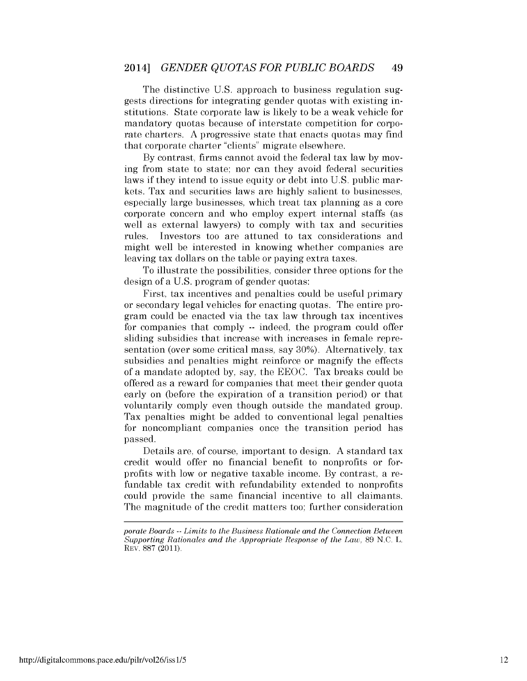The distinctive U.S. approach to business regulation suggests directions for integrating gender quotas with existing institutions. State corporate law is likely to be a weak vehicle for mandatory quotas because of interstate competition for corporate charters. A progressive state that enacts quotas may find that corporate charter "clients" migrate elsewhere.

By contrast, firms cannot avoid the federal tax law by moving from state to state; nor can they avoid federal securities laws if they intend to issue equity or debt into U.S. public markets. Tax and securities laws are highly salient to businesses, especially large businesses, which treat tax planning as a core corporate concern and who employ expert internal staffs (as well as external lawyers) to comply with tax and securities rules. Investors too are attuned to tax considerations and might well be interested in knowing whether companies are leaving tax dollars on the table or paying extra taxes.

To illustrate the possibilities, consider three options for the design of a U.S. program of gender quotas:

First, tax incentives and penalties could be useful primary or secondary legal vehicles for enacting quotas. The entire program could be enacted via the tax law through tax incentives for companies that comply -- indeed, the program could offer sliding subsidies that increase with increases in female representation (over some critical mass, say 30%). Alternatively, tax subsidies and penalties might reinforce or magnify the effects of a mandate adopted by, say, the EEOC. Tax breaks could be offered as a reward for companies that meet their gender quota early on (before the expiration of a transition period) or that voluntarily comply even though outside the mandated group. Tax penalties might be added to conventional legal penalties for noncompliant companies once the transition period has passed.

Details are, of course, important to design. A standard tax credit would offer no financial benefit to nonprofits or forprofits with low or negative taxable income. By contrast, a refundable tax credit with refundability extended to nonprofits could provide the same financial incentive to all claimants. The magnitude of the credit matters too; further consideration

*porate Boards* -- *Limits to the Business Rationale and the Connection Between Supporting Rationales and the Appropriate Response of the Law,* 89 N.C. L. REV. 887 (2011).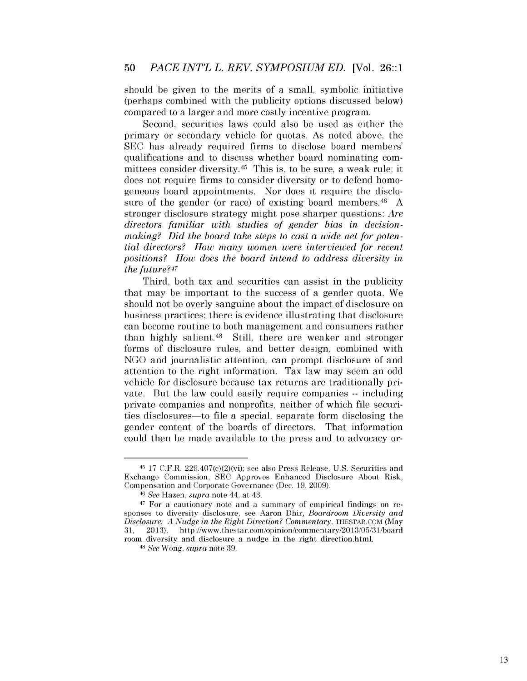should be given to the merits of a small, symbolic initiative (perhaps combined with the publicity options discussed below) compared to a larger and more costly incentive program.

Second, securities laws could also be used as either the primary or secondary vehicle for quotas. As noted above, the SEC has already required firms to disclose board members' qualifications and to discuss whether board nominating committees consider diversity. 45 This is, to be sure, a weak rule; it does not require firms to consider diversity or to defend homogeneous board appointments. Nor does it require the disclosure of the gender (or race) of existing board members.<sup>46</sup> A stronger disclosure strategy might pose sharper questions: *Are directors familiar with studies of gender bias in decisionmaking? Did the board take steps to cast a wide net for potential directors? How many women were interviewed for recent positions? How does the board intend to address diversity in the future?47* 

Third, both tax and securities can assist in the publicity that may be important to the success of a gender quota. We should not be overly sanguine about the impact of disclosure on business practices; there is evidence illustrating that disclosure can become routine to both management and consumers rather than highly salient.<sup>48</sup> Still, there are weaker and stronger forms of disclosure rules, and better design, combined with NGO and journalistic attention, can prompt disclosure of and attention to the right information. Tax law may seem an odd vehicle for disclosure because tax returns are traditionally private. But the law could easily require companies -- including private companies and nonprofits, neither of which file securities disclosures-to file a special, separate form disclosing the gender content of the boards of directors. That information could then be made available to the press and to advocacy or-

 $45$  17 C.F.R.  $229.407(c)(2)(vi)$ ; see also Press Release, U.S. Securities and Exchange Commission, SEC Approves Enhanced Disclosure About Risk,

Compensation and Corporate Governance (Dec. 19, 2009). 46 *See* Hazen, *supra* note 44, at 43. 47 For a cautionary note and a summary of empirical findings on responses to diversity disclosure, see Aaron Dhir, *Boardroom Diversity and Disclosure: A Nudge in the Right Direction? Commentary, THESTAR.COM (May* 31, 2013), http://www.thestar.com/opinion/commentary/2013/05/31/board room\_diversity \_and\_disclosure\_a\_nudge\_in\_the\_right\_direction.html.

<sup>48</sup>*See* Wong, *supra* note 39.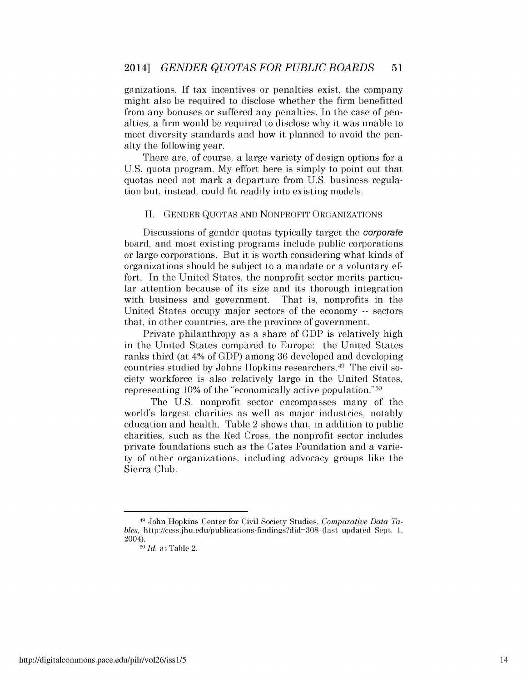ganizations. If tax incentives or penalties exist, the company might also be required to disclose whether the firm benefitted from any bonuses or suffered any penalties. In the case of penalties, a firm would be required to disclose why it was unable to meet diversity standards and how it planned to avoid the penalty the following year.

There are, of course, a large variety of design options for a U.S. quota program. My effort here is simply to point out that quotas need not mark a departure from U.S. business regulation but, instead, could fit readily into existing models.

#### II. GENDER QUOTAS AND NONPROFIT ORGANIZATIONS

Discussions of gender quotas typically target the corporate board, and most existing programs include public corporations or large corporations. But it is worth considering what kinds of organizations should be subject to a mandate or a voluntary effort. In the United States, the nonprofit sector merits particular attention because of its size and its thorough integration with business and government. That is, nonprofits in the United States occupy major sectors of the economy -- sectors that, in other countries, are the province of government.

Private philanthropy as a share of GDP is relatively high in the United States compared to Europe: the United States ranks third (at 4% of GDP) among 36 developed and developing countries studied by Johns Hopkins researchers. 49 The civil society workforce is also relatively large in the United States, representing 10% of the "economically active population." 50

The U.S. nonprofit sector encompasses many of the world's largest charities as well as major industries, notably education and health. Table 2 shows that, in addition to public charities, such as the Red Cross, the nonprofit sector includes private foundations such as the Gates Foundation and a variety of other organizations, including advocacy groups like the Sierra Club.

<sup>49</sup> John Hopkins Center for Civil Society Studies, *Comparative Data Tables,* http://ccss.jhu.edu/publications-findings?did=308 (last updated Sept. 1, 2004).

<sup>50</sup>*Id.* at Table 2.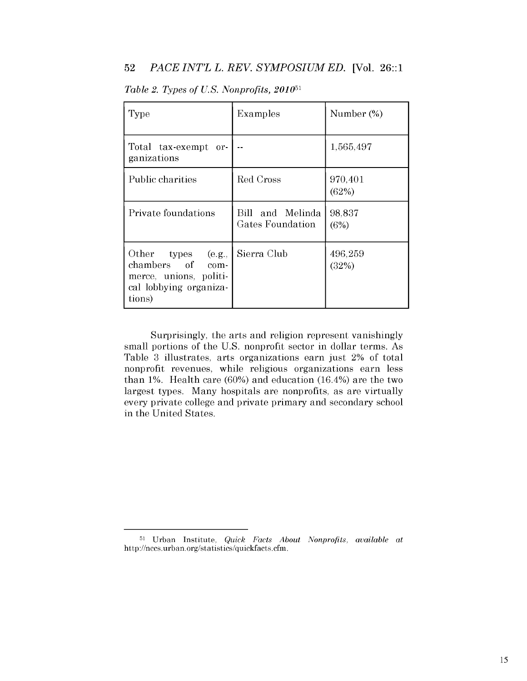# 52 *PACE INT'L L. REV. SYMPOSIUM ED.* [Vol. 26::1

| Type                                                                                                    | Examples                             | Number (%)       |
|---------------------------------------------------------------------------------------------------------|--------------------------------------|------------------|
| Total tax-exempt<br>or-<br>ganizations                                                                  |                                      | 1,565,497        |
| Public charities                                                                                        | Red Cross                            | 970,401<br>(62%) |
| Private foundations                                                                                     | Bill and Melinda<br>Gates Foundation | 98,837<br>(6%)   |
| Other<br>types (e.g.,<br>chambers of com-<br>merce, unions, politi-<br>cal lobbying organiza-<br>tions) | Sierra Club                          | 496,259<br>(32%) |

*Table 2. Types of U.S. Nonprofits, 201051* 

Surprisingly, the arts and religion represent vanishingly small portions of the U.S. nonprofit sector in dollar terms. As Table 3 illustrates, arts organizations earn just 2% of total nonprofit revenues, while religious organizations earn less than 1%. Health care  $(60%)$  and education  $(16.4%)$  are the two largest types. Many hospitals are nonprofits, as are virtually every private college and private primary and secondary school in the United States.

<sup>5</sup>l Urban Institute. *Quick Facts About Nonprofits. available at*  http ://nccs. urban. org/statistics/quickfacts. cfm.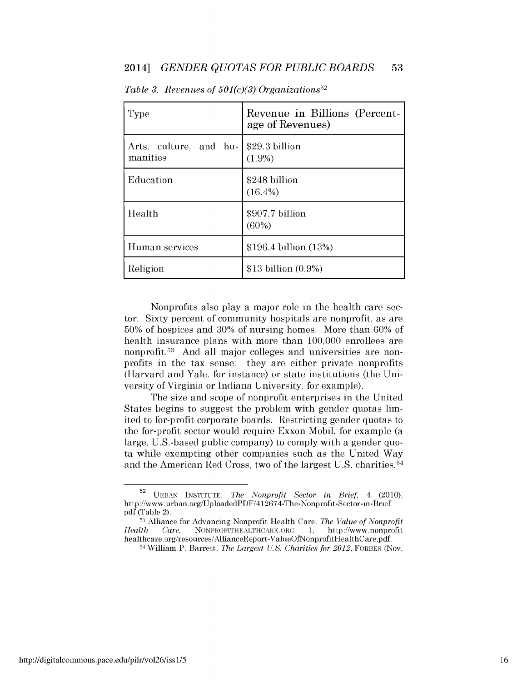| Type                               | Revenue in Billions (Percent-<br>age of Revenues) |
|------------------------------------|---------------------------------------------------|
| Arts, culture, and hu-<br>manities | \$29.3 billion<br>(1.9%)                          |
| Education                          | \$248 billion<br>$(16.4\%)$                       |
| Health                             | \$907.7 billion<br>(60%)                          |
| Human services                     | \$196.4 billion (13%)                             |
| Religion                           | \$13 billion (0.9%)                               |

*Table 3. Revenues of 501(c)(3) Organizations <sup>52</sup>*

Nonprofits also play a major role in the health care sector. Sixty percent of community hospitals are nonprofit, as are 50% of hospices and 30% of nursing homes. More than 60% of health insurance plans with more than 100,000 enrollees are nonprofit. 53 And all major colleges and universities are nonprofits in the tax sense: they are either private nonprofits (Harvard and Yale, for instance) or state institutions (the University of Virginia or Indiana University, for example).

The size and scope of nonprofit enterprises in the United States begins to suggest the problem with gender quotas limited to for-profit corporate boards. Restricting gender quotas to the for-profit sector would require Exxon Mobil, for example (a large, U.S.-based public company) to comply with a gender quota while exempting other companies such as the United Way and the American Red Cross, two of the largest U.S. charities. 54

<sup>52</sup> URBAN INSTITUTE, *The Nonprofit Sector in Brief,* 4 (2010), http://www.urban.org/UploadedPDF/412674-The-Nonprofit-Sector-in-Brief.  $pdf$  (Table 2).

<sup>53</sup> Alliance for Advancing Nonprofit Health Care, *The Value of Nonprofit Health Care,* NONPROFITHEALTHCARE.ORG 1, http://www.nonprofit healthcare.org/resources/AllianceReport-ValueOfNonprofitHealthCare.pdf.

<sup>54</sup> William P. Barrett, *The Largest U.S. Charities for 2012,* FORBES (Nov.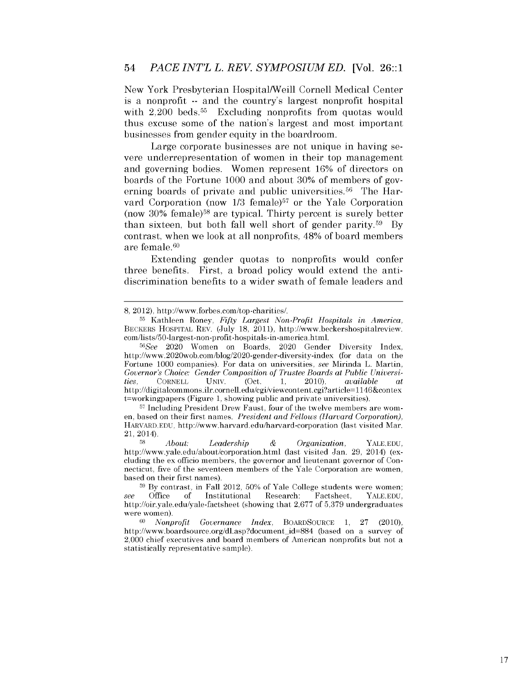New York Presbyterian Hospital/Weill Cornell Medical Center is a nonprofit -- and the country's largest nonprofit hospital with 2,200 beds.<sup>55</sup> Excluding nonprofits from quotas would thus excuse some of the nation's largest and most important businesses from gender equity in the boardroom.

Large corporate businesses are not unique in having severe underrepresentation of women in their top management and governing bodies. Women represent 16% of directors on boards of the Fortune 1000 and about 30% of members of governing boards of private and public universities.<sup>56</sup> The Harvard Corporation (now  $1/3$  female)<sup>57</sup> or the Yale Corporation (now  $30\%$  female)<sup>58</sup> are typical. Thirty percent is surely better than sixteen, but both fall well short of gender parity.<sup>59</sup> By contrast, when we look at all nonprofits, 48% of board members are female. <sup>60</sup>

Extending gender quotas to nonprofits would confer three benefits. First, a broad policy would extend the antidiscrimination benefits to a wider swath of female leaders and

57 Including President Drew Faust, four of the twelve members are women, based on their first names. *President and Fellows (Harvard Corporation),*  HARVARD.EDU, http://www.harvard.edu/harvard-corporation (last visited Mar. 21, 2014).

<sup>58</sup>*About: Leadership* & *Organization,* YALE.EDU, http://www.yale.edu/about/corporation.html (last visited Jan. 29, 2014) (excluding the ex officio members, the governor and lieutenant governor of Connecticut, five of the seventeen members of the Yale Corporation are women, based on their first names).

<sup>8, 2012),</sup> http://www.forbes.com/top-charities/.

<sup>55</sup> Kathleen Roney, *Fifty Largest Non-Profit Hospitals in America,*  BECKERS HOSPITAL REV. (July 18, 2011), http://www.beckershospitalreview. com/lists/50-largest-non-profit-hospitals-in-america.html.

*<sup>56</sup>See* 2020 Women on Boards, 2020 Gender Diversity Index, http://www.2020wob.com/blog/2020-gender-diversity-index (for data on the Fortune 1000 companies). For data on universities, *see* Mirinda L. Martin, *Governor's Choice: Gender Composition of Trustee Boards at Public Universities,* CORNELL UNIV. (Oct. 1, 2010), *available at*  http://digitalcommons.ilr.cornell.edu/cgi/viewcontent. cgi?article= 1146&contex t=workingpapers (Figure 1, showing public and private universities).

<sup>&</sup>lt;sup>59</sup> By contrast, in Fall 2012, 50% of Yale College students were women;<br>Office of Institutional Research: Factsheet. YALE.EDU. *see* Office of Institutional http://oir.yale.edu/yale-factsheet (showing that 2,677 of 5,379 undergraduates were women).

<sup>60</sup>*Nonprofit Governance Index,* BOARDSOURCE 1, 27 (2010), http://www.boardsource.org/dl.asp?document\_id=884 (based on a survey of 2,000 chief executives and board members of American nonprofits but not a statistically representative sample).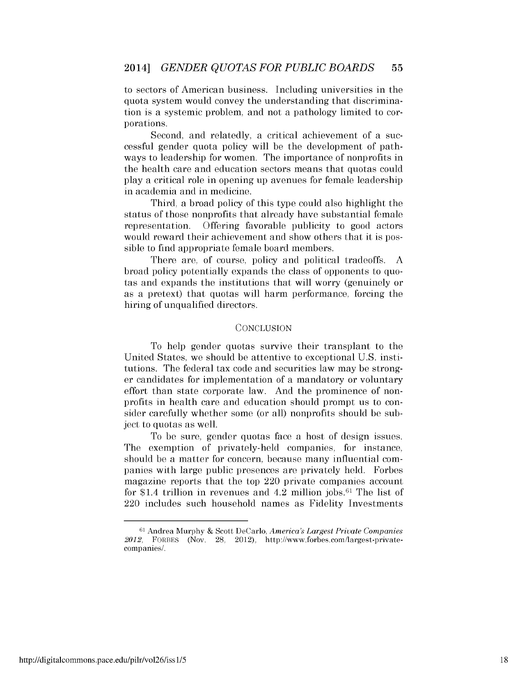to sectors of American business. Including universities in the quota system would convey the understanding that discrimination is a systemic problem, and not a pathology limited to corporations.

Second, and relatedly, a critical achievement of a successful gender quota policy will be the development of pathways to leadership for women. The importance of nonprofits in the health care and education sectors means that quotas could play a critical role in opening up avenues for female leadership in academia and in medicine.

Third, a broad policy of this type could also highlight the status of those nonprofits that already have substantial female representation. Offering favorable publicity to good actors would reward their achievement and show others that it is possible to find appropriate female board members.

There are, of course, policy and political tradeoffs. A broad policy potentially expands the class of opponents to quotas and expands the institutions that will worry (genuinely or as a pretext) that quotas will harm performance, forcing the hiring of unqualified directors.

#### **CONCLUSION**

To help gender quotas survive their transplant to the United States, we should be attentive to exceptional U.S. institutions. The federal tax code and securities law may be stronger candidates for implementation of a mandatory or voluntary effort than state corporate law. And the prominence of nonprofits in health care and education should prompt us to consider carefully whether some (or all) nonprofits should be subject to quotas as well.

To be sure, gender quotas face a host of design issues. The exemption of privately-held companies, for instance, should be a matter for concern, because many influential companies with large public presences are privately held. Forbes magazine reports that the top 220 private companies account for \$1.4 trillion in revenues and  $4.2$  million jobs.<sup>61</sup> The list of 220 includes such household names as Fidelity Investments

<sup>6</sup>l Andrea Murphy & Scott DeCarlo, *America's Largest Private Companies*  2012, FORBES (Nov. 28, 2012), http://www.forbes.com/largest-privatecompanies/.